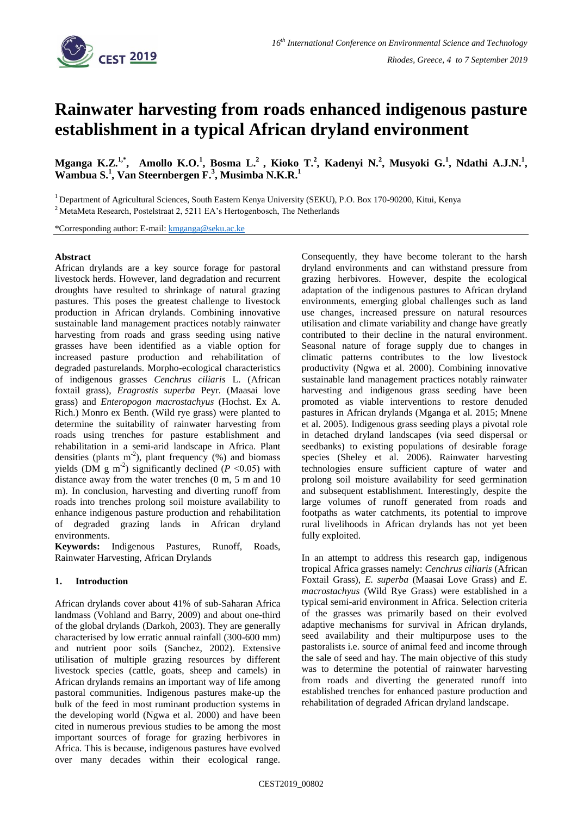

# **Rainwater harvesting from roads enhanced indigenous pasture establishment in a typical African dryland environment**

**Mganga K.Z.**<sup>1,\*</sup>, Amollo K.O.<sup>1</sup>, Bosma L.<sup>2</sup>, Kioko T.<sup>2</sup>, Kadenyi N.<sup>2</sup>, Musyoki G.<sup>1</sup>, Ndathi A.J.N.<sup>1</sup>, **Wambua S.<sup>1</sup> , Van Steernbergen F.<sup>3</sup> , Musimba N.K.R.<sup>1</sup>**

<sup>1</sup> Department of Agricultural Sciences, South Eastern Kenya University (SEKU), P.O. Box 170-90200, Kitui, Kenya

<sup>2</sup> MetaMeta Research, Postelstraat 2, 5211 EA's Hertogenbosch, The Netherlands

\*Corresponding author: E-mail: [kmganga@seku.ac.ke](mailto:kmganga@seku.ac.ke)

## **Abstract**

African drylands are a key source forage for pastoral livestock herds. However, land degradation and recurrent droughts have resulted to shrinkage of natural grazing pastures. This poses the greatest challenge to livestock production in African drylands. Combining innovative sustainable land management practices notably rainwater harvesting from roads and grass seeding using native grasses have been identified as a viable option for increased pasture production and rehabilitation of degraded pasturelands. Morpho-ecological characteristics of indigenous grasses *Cenchrus ciliaris* L. (African foxtail grass), *Eragrostis superba* Peyr. (Maasai love grass) and *Enteropogon macrostachyus* (Hochst. Ex A. Rich.) Monro ex Benth. (Wild rye grass) were planted to determine the suitability of rainwater harvesting from roads using trenches for pasture establishment and rehabilitation in a semi-arid landscape in Africa. Plant densities (plants  $m^{-2}$ ), plant frequency (%) and biomass yields (DM  $g$  m<sup>-2</sup>) significantly declined ( $P$  <0.05) with distance away from the water trenches (0 m, 5 m and 10 m). In conclusion, harvesting and diverting runoff from roads into trenches prolong soil moisture availability to enhance indigenous pasture production and rehabilitation of degraded grazing lands in African dryland environments.

**Keywords:** Indigenous Pastures, Runoff, Roads, Rainwater Harvesting, African Drylands

## **1. Introduction**

African drylands cover about 41% of sub-Saharan Africa landmass (Vohland and Barry, 2009) and about one-third of the global drylands (Darkoh, 2003). They are generally characterised by low erratic annual rainfall (300-600 mm) and nutrient poor soils (Sanchez, 2002). Extensive utilisation of multiple grazing resources by different livestock species (cattle, goats, sheep and camels) in African drylands remains an important way of life among pastoral communities. Indigenous pastures make-up the bulk of the feed in most ruminant production systems in the developing world (Ngwa et al. 2000) and have been cited in numerous previous studies to be among the most important sources of forage for grazing herbivores in Africa. This is because, indigenous pastures have evolved over many decades within their ecological range.

Consequently, they have become tolerant to the harsh dryland environments and can withstand pressure from grazing herbivores. However, despite the ecological adaptation of the indigenous pastures to African dryland environments, emerging global challenges such as land use changes, increased pressure on natural resources utilisation and climate variability and change have greatly contributed to their decline in the natural environment. Seasonal nature of forage supply due to changes in climatic patterns contributes to the low livestock productivity (Ngwa et al. 2000). Combining innovative sustainable land management practices notably rainwater harvesting and indigenous grass seeding have been promoted as viable interventions to restore denuded pastures in African drylands (Mganga et al*.* 2015; Mnene et al. 2005). Indigenous grass seeding plays a pivotal role in detached dryland landscapes (via seed dispersal or seedbanks) to existing populations of desirable forage species (Sheley et al. 2006). Rainwater harvesting technologies ensure sufficient capture of water and prolong soil moisture availability for seed germination and subsequent establishment. Interestingly, despite the large volumes of runoff generated from roads and footpaths as water catchments, its potential to improve rural livelihoods in African drylands has not yet been fully exploited.

In an attempt to address this research gap, indigenous tropical Africa grasses namely: *Cenchrus ciliaris* (African Foxtail Grass), *E. superba* (Maasai Love Grass) and *E. macrostachyus* (Wild Rye Grass) were established in a typical semi-arid environment in Africa. Selection criteria of the grasses was primarily based on their evolved adaptive mechanisms for survival in African drylands, seed availability and their multipurpose uses to the pastoralists i.e. source of animal feed and income through the sale of seed and hay. The main objective of this study was to determine the potential of rainwater harvesting from roads and diverting the generated runoff into established trenches for enhanced pasture production and rehabilitation of degraded African dryland landscape.